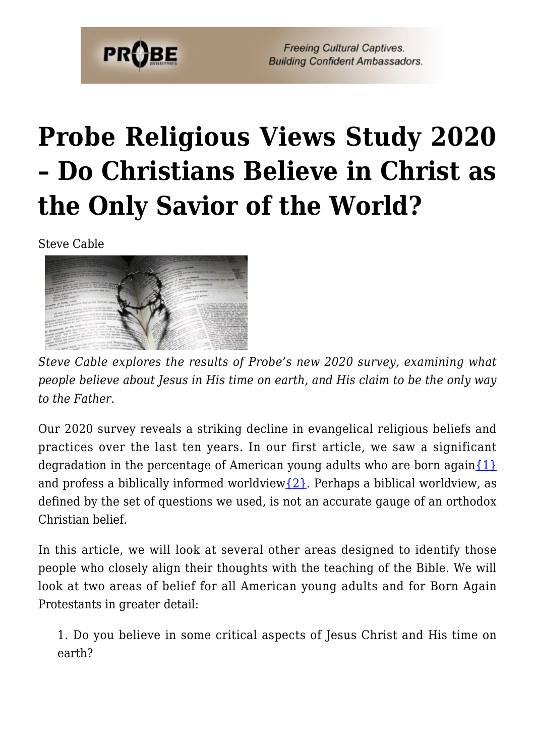

# **[Probe Religious Views Study 2020](https://probe.org/probe-religious-views-study-2020-do-christians-believe-in-christ-as-the-only-savior-of-the-world/) [– Do Christians Believe in Christ as](https://probe.org/probe-religious-views-study-2020-do-christians-believe-in-christ-as-the-only-savior-of-the-world/) [the Only Savior of the World?](https://probe.org/probe-religious-views-study-2020-do-christians-believe-in-christ-as-the-only-savior-of-the-world/)**

Steve Cable



*Steve Cable explores the results of Probe's new 2020 survey, examining what people believe about Jesus in His time on earth, and His claim to be the only way to the Father.*

Our 2020 survey reveals a striking decline in evangelical religious beliefs and practices over the last ten years. In our first article, we saw a significant degradation in the percentage of American young adults who are born again $\{1\}$ and profess a biblically informed worldview $\{2\}$ . Perhaps a biblical worldview, as defined by the set of questions we used, is not an accurate gauge of an orthodox Christian belief.

In this article, we will look at several other areas designed to identify those people who closely align their thoughts with the teaching of the Bible. We will look at two areas of belief for all American young adults and for Born Again Protestants in greater detail:

1. Do you believe in some critical aspects of Jesus Christ and His time on earth?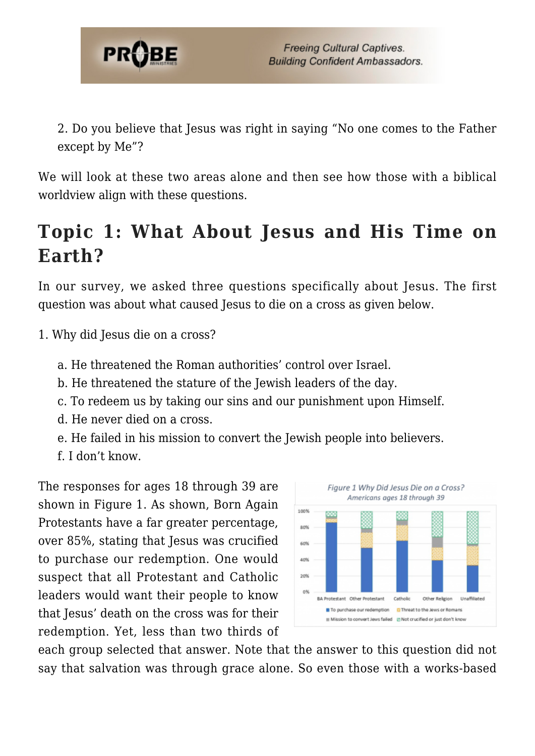

2. Do you believe that Jesus was right in saying "No one comes to the Father except by Me"?

We will look at these two areas alone and then see how those with a biblical worldview align with these questions.

# **Topic 1: What About Jesus and His Time on Earth?**

In our survey, we asked three questions specifically about Jesus. The first question was about what caused Jesus to die on a cross as given below.

- 1. Why did Jesus die on a cross?
	- a. He threatened the Roman authorities' control over Israel.
	- b. He threatened the stature of the Jewish leaders of the day.
	- c. To redeem us by taking our sins and our punishment upon Himself.
	- d. He never died on a cross.
	- e. He failed in his mission to convert the Jewish people into believers.
	- f. I don't know.

The responses for ages 18 through 39 are shown in Figure 1. As shown, Born Again Protestants have a far greater percentage, over 85%, stating that Jesus was crucified to purchase our redemption. One would suspect that all Protestant and Catholic leaders would want their people to know that Jesus' death on the cross was for their redemption. Yet, less than two thirds of



each group selected that answer. Note that the answer to this question did not say that salvation was through grace alone. So even those with a works-based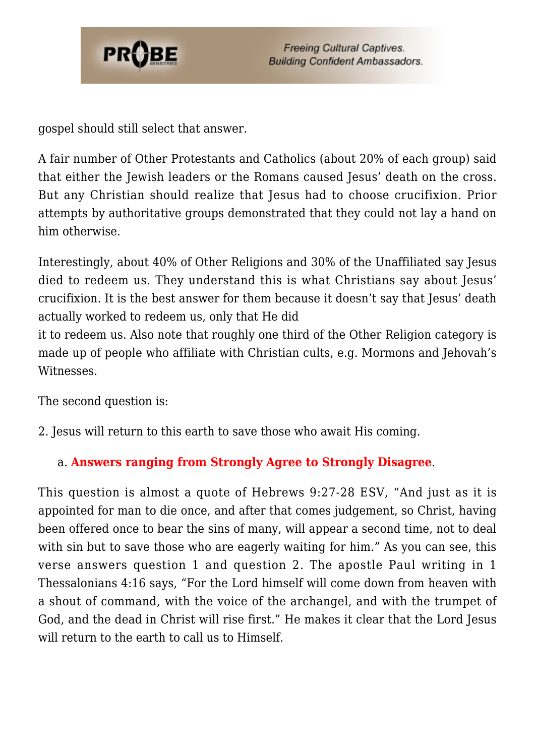

gospel should still select that answer.

A fair number of Other Protestants and Catholics (about 20% of each group) said that either the Jewish leaders or the Romans caused Jesus' death on the cross. But any Christian should realize that Jesus had to choose crucifixion. Prior attempts by authoritative groups demonstrated that they could not lay a hand on him otherwise.

Interestingly, about 40% of Other Religions and 30% of the Unaffiliated say Jesus died to redeem us. They understand this is what Christians say about Jesus' crucifixion. It is the best answer for them because it doesn't say that Jesus' death actually worked to redeem us, only that He did

it to redeem us. Also note that roughly one third of the Other Religion category is made up of people who affiliate with Christian cults, e.g. Mormons and Jehovah's Witnesses.

The second question is:

2. Jesus will return to this earth to save those who await His coming.

#### a. **Answers ranging from Strongly Agree to Strongly Disagree**.

This question is almost a quote of Hebrews 9:27-28 ESV, "And just as it is appointed for man to die once, and after that comes judgement, so Christ, having been offered once to bear the sins of many, will appear a second time, not to deal with sin but to save those who are eagerly waiting for him." As you can see, this verse answers question 1 and question 2. The apostle Paul writing in 1 Thessalonians 4:16 says, "For the Lord himself will come down from heaven with a shout of command, with the voice of the archangel, and with the trumpet of God, and the dead in Christ will rise first." He makes it clear that the Lord Jesus will return to the earth to call us to Himself.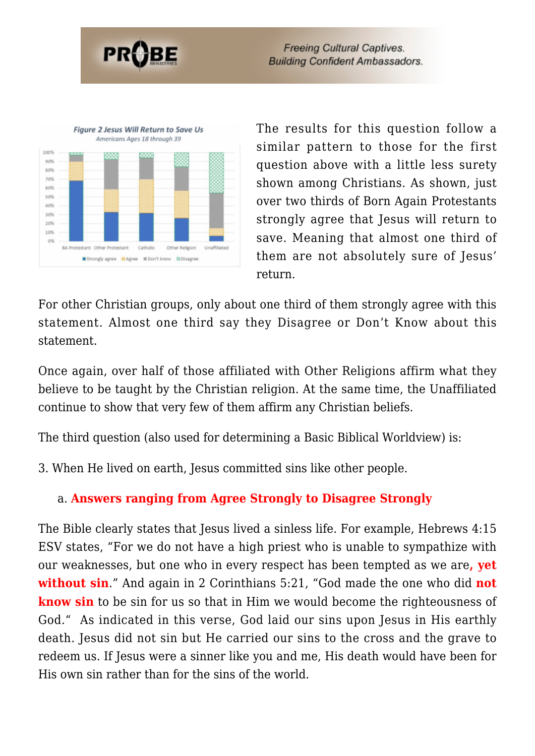



The results for this question follow a similar pattern to those for the first question above with a little less surety shown among Christians. As shown, just over two thirds of Born Again Protestants strongly agree that Jesus will return to save. Meaning that almost one third of them are not absolutely sure of Jesus' return.

For other Christian groups, only about one third of them strongly agree with this statement. Almost one third say they Disagree or Don't Know about this statement.

Once again, over half of those affiliated with Other Religions affirm what they believe to be taught by the Christian religion. At the same time, the Unaffiliated continue to show that very few of them affirm any Christian beliefs.

The third question (also used for determining a Basic Biblical Worldview) is:

3. When He lived on earth, Jesus committed sins like other people.

### a. **Answers ranging from Agree Strongly to Disagree Strongly**

The Bible clearly states that Jesus lived a sinless life. For example, Hebrews 4:15 ESV states, "For we do not have a high priest who is unable to sympathize with our weaknesses, but one who in every respect has been tempted as we are**, yet without sin**." And again in 2 Corinthians 5:21, "God made the one who did **not know sin** to be sin for us so that in Him we would become the righteousness of God." As indicated in this verse, God laid our sins upon Jesus in His earthly death. Jesus did not sin but He carried our sins to the cross and the grave to redeem us. If Jesus were a sinner like you and me, His death would have been for His own sin rather than for the sins of the world.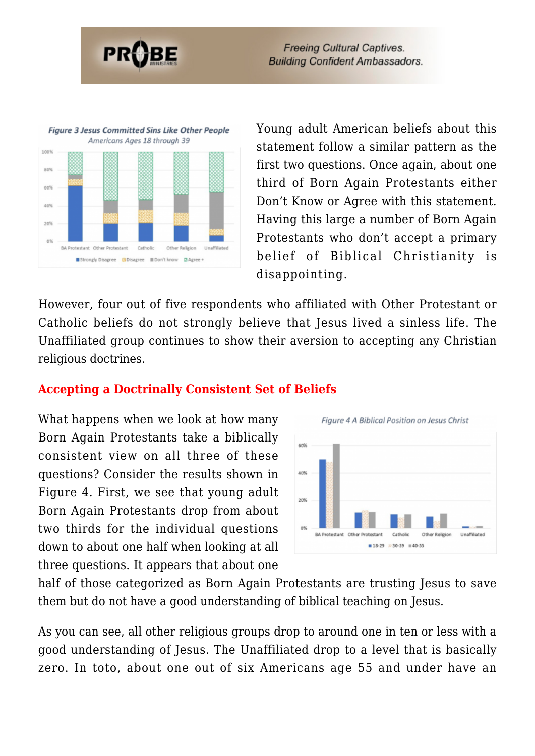



Young adult American beliefs about this statement follow a similar pattern as the first two questions. Once again, about one third of Born Again Protestants either Don't Know or Agree with this statement. Having this large a number of Born Again Protestants who don't accept a primary belief of Biblical Christianity is disappointing.

However, four out of five respondents who affiliated with Other Protestant or Catholic beliefs do not strongly believe that Jesus lived a sinless life. The Unaffiliated group continues to show their aversion to accepting any Christian religious doctrines.

#### **Accepting a Doctrinally Consistent Set of Beliefs**

What happens when we look at how many Born Again Protestants take a biblically consistent view on all three of these questions? Consider the results shown in Figure 4. First, we see that young adult Born Again Protestants drop from about two thirds for the individual questions down to about one half when looking at all three questions. It appears that about one



half of those categorized as Born Again Protestants are trusting Jesus to save them but do not have a good understanding of biblical teaching on Jesus.

As you can see, all other religious groups drop to around one in ten or less with a good understanding of Jesus. The Unaffiliated drop to a level that is basically zero. In toto, about one out of six Americans age 55 and under have an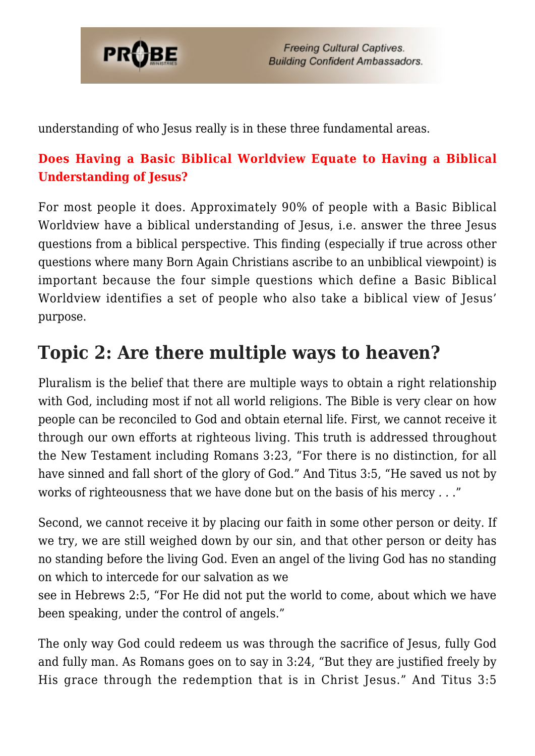

understanding of who Jesus really is in these three fundamental areas.

### **Does Having a Basic Biblical Worldview Equate to Having a Biblical Understanding of Jesus?**

For most people it does. Approximately 90% of people with a Basic Biblical Worldview have a biblical understanding of Jesus, i.e. answer the three Jesus questions from a biblical perspective. This finding (especially if true across other questions where many Born Again Christians ascribe to an unbiblical viewpoint) is important because the four simple questions which define a Basic Biblical Worldview identifies a set of people who also take a biblical view of Jesus' purpose.

### **Topic 2: Are there multiple ways to heaven?**

Pluralism is the belief that there are multiple ways to obtain a right relationship with God, including most if not all world religions. The Bible is very clear on how people can be reconciled to God and obtain eternal life. First, we cannot receive it through our own efforts at righteous living. This truth is addressed throughout the New Testament including Romans 3:23, "For there is no distinction, for all have sinned and fall short of the glory of God." And Titus 3:5, "He saved us not by works of righteousness that we have done but on the basis of his mercy *. .* ."

Second, we cannot receive it by placing our faith in some other person or deity. If we try, we are still weighed down by our sin, and that other person or deity has no standing before the living God. Even an angel of the living God has no standing on which to intercede for our salvation as we

see in Hebrews 2:5, "For He did not put the world to come, about which we have been speaking, under the control of angels."

The only way God could redeem us was through the sacrifice of Jesus, fully God and fully man. As Romans goes on to say in 3:24, "But they are justified freely by His grace through the redemption that is in Christ Jesus." And Titus 3:5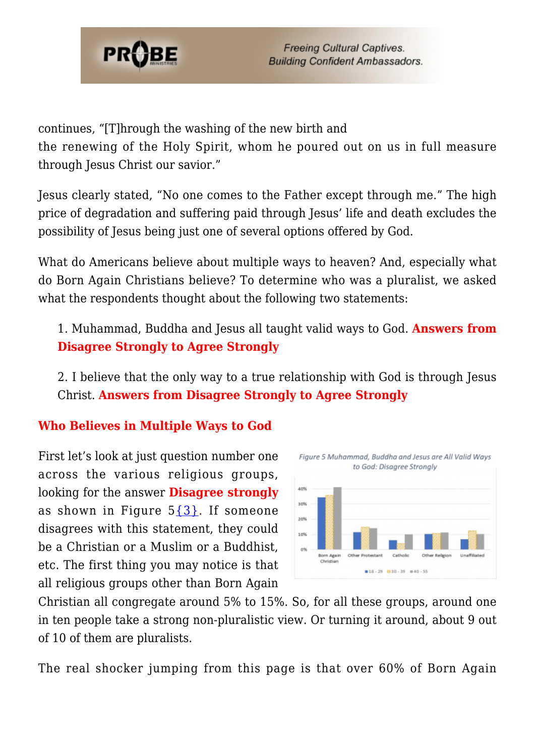

continues, "[T]hrough the washing of the new birth and

the renewing of the Holy Spirit, whom he poured out on us in full measure through Jesus Christ our savior."

Jesus clearly stated, "No one comes to the Father except through me." The high price of degradation and suffering paid through Jesus' life and death excludes the possibility of Jesus being just one of several options offered by God.

What do Americans believe about multiple ways to heaven? And, especially what do Born Again Christians believe? To determine who was a pluralist, we asked what the respondents thought about the following two statements:

1. Muhammad, Buddha and Jesus all taught valid ways to God. **Answers from Disagree Strongly to Agree Strongly**

2. I believe that the only way to a true relationship with God is through Jesus Christ. **Answers from Disagree Strongly to Agree Strongly**

#### **Who Believes in Multiple Ways to God**

First let's look at just question number one across the various religious groups, looking for the answer **Disagree strongly** as shown in Figure  $5{3}$  $5{3}$ . If someone disagrees with this statement, they could be a Christian or a Muslim or a Buddhist, etc. The first thing you may notice is that all religious groups other than Born Again



Christian all congregate around 5% to 15%. So, for all these groups, around one in ten people take a strong non-pluralistic view. Or turning it around, about 9 out of 10 of them are pluralists.

The real shocker jumping from this page is that over 60% of Born Again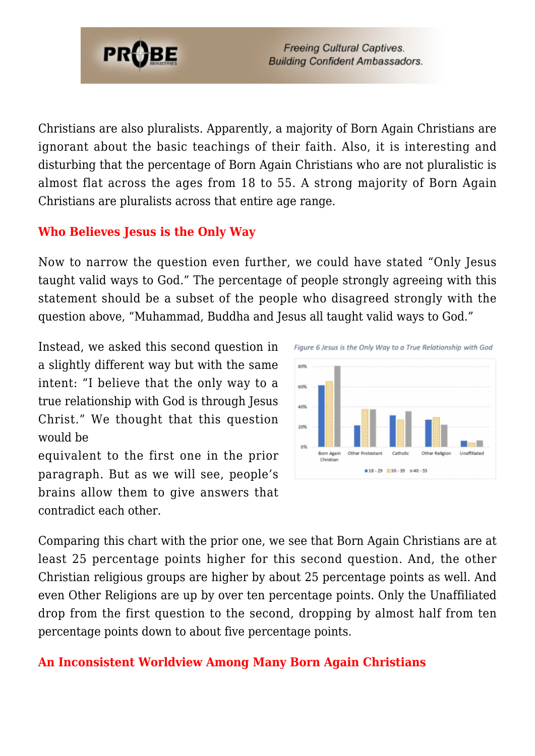

Christians are also pluralists. Apparently, a majority of Born Again Christians are ignorant about the basic teachings of their faith. Also, it is interesting and disturbing that the percentage of Born Again Christians who are not pluralistic is almost flat across the ages from 18 to 55. A strong majority of Born Again Christians are pluralists across that entire age range.

#### **Who Believes Jesus is the Only Way**

Now to narrow the question even further, we could have stated "Only Jesus taught valid ways to God." The percentage of people strongly agreeing with this statement should be a subset of the people who disagreed strongly with the question above, "Muhammad, Buddha and Jesus all taught valid ways to God."

Instead, we asked this second question in a slightly different way but with the same intent: "I believe that the only way to a true relationship with God is through Jesus Christ." We thought that this question would be

equivalent to the first one in the prior paragraph. But as we will see, people's brains allow them to give answers that contradict each other.



Comparing this chart with the prior one, we see that Born Again Christians are at least 25 percentage points higher for this second question. And, the other Christian religious groups are higher by about 25 percentage points as well. And even Other Religions are up by over ten percentage points. Only the Unaffiliated drop from the first question to the second, dropping by almost half from ten percentage points down to about five percentage points.

#### **An Inconsistent Worldview Among Many Born Again Christians**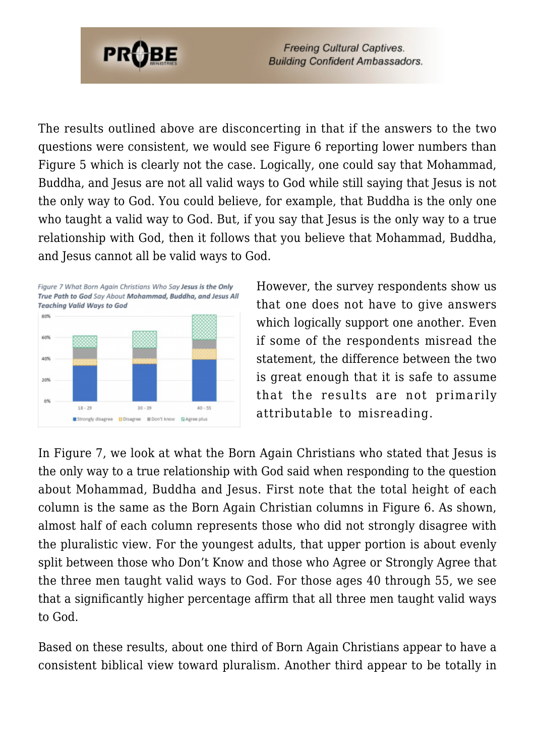

The results outlined above are disconcerting in that if the answers to the two questions were consistent, we would see Figure 6 reporting lower numbers than Figure 5 which is clearly not the case. Logically, one could say that Mohammad, Buddha, and Jesus are not all valid ways to God while still saying that Jesus is not the only way to God. You could believe, for example, that Buddha is the only one who taught a valid way to God. But, if you say that Jesus is the only way to a true relationship with God, then it follows that you believe that Mohammad, Buddha, and Jesus cannot all be valid ways to God.



However, the survey respondents show us that one does not have to give answers which logically support one another. Even if some of the respondents misread the statement, the difference between the two is great enough that it is safe to assume that the results are not primarily attributable to misreading.

In Figure 7, we look at what the Born Again Christians who stated that Jesus is the only way to a true relationship with God said when responding to the question about Mohammad, Buddha and Jesus. First note that the total height of each column is the same as the Born Again Christian columns in Figure 6. As shown, almost half of each column represents those who did not strongly disagree with the pluralistic view. For the youngest adults, that upper portion is about evenly split between those who Don't Know and those who Agree or Strongly Agree that the three men taught valid ways to God. For those ages 40 through 55, we see that a significantly higher percentage affirm that all three men taught valid ways to God.

Based on these results, about one third of Born Again Christians appear to have a consistent biblical view toward pluralism. Another third appear to be totally in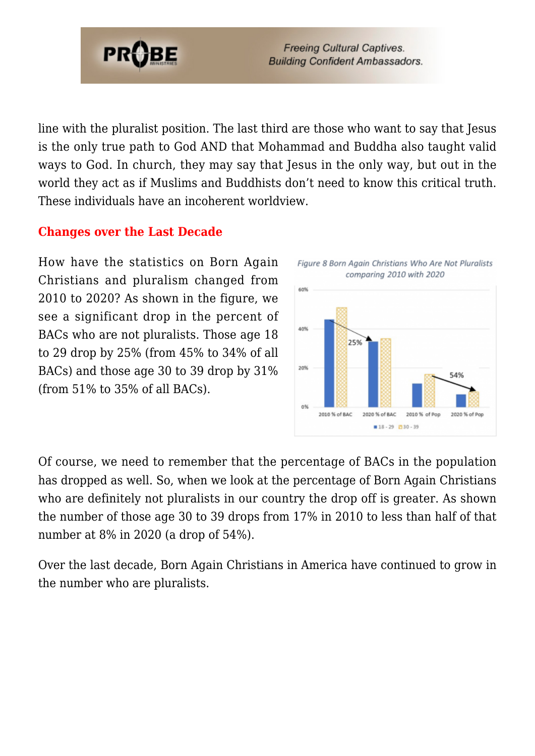

line with the pluralist position. The last third are those who want to say that Jesus is the only true path to God AND that Mohammad and Buddha also taught valid ways to God. In church, they may say that Jesus in the only way, but out in the world they act as if Muslims and Buddhists don't need to know this critical truth. These individuals have an incoherent worldview.

#### **Changes over the Last Decade**

How have the statistics on Born Again Christians and pluralism changed from 2010 to 2020? As shown in the figure, we see a significant drop in the percent of BACs who are not pluralists. Those age 18 to 29 drop by 25% (from 45% to 34% of all BACs) and those age 30 to 39 drop by 31% (from 51% to 35% of all BACs).



Of course, we need to remember that the percentage of BACs in the population has dropped as well. So, when we look at the percentage of Born Again Christians who are definitely not pluralists in our country the drop off is greater. As shown the number of those age 30 to 39 drops from 17% in 2010 to less than half of that number at 8% in 2020 (a drop of 54%).

Over the last decade, Born Again Christians in America have continued to grow in the number who are pluralists.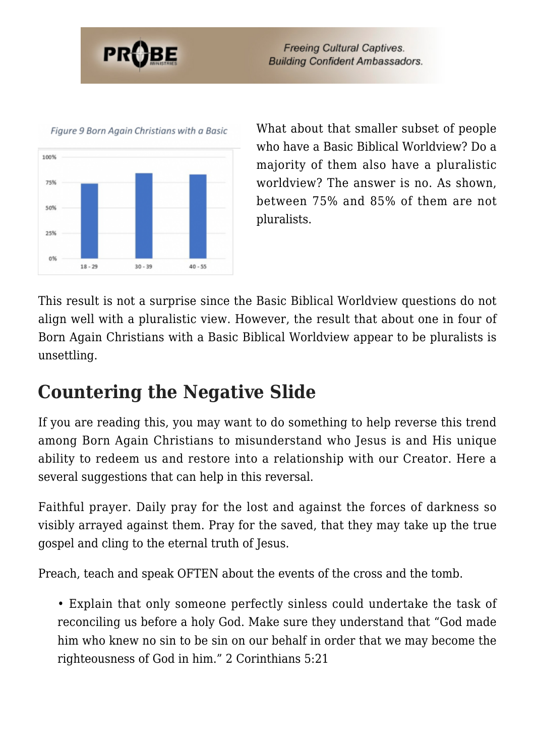



What about that smaller subset of people who have a Basic Biblical Worldview? Do a majority of them also have a pluralistic worldview? The answer is no. As shown, between 75% and 85% of them are not pluralists.

This result is not a surprise since the Basic Biblical Worldview questions do not align well with a pluralistic view. However, the result that about one in four of Born Again Christians with a Basic Biblical Worldview appear to be pluralists is unsettling.

## **Countering the Negative Slide**

If you are reading this, you may want to do something to help reverse this trend among Born Again Christians to misunderstand who Jesus is and His unique ability to redeem us and restore into a relationship with our Creator. Here a several suggestions that can help in this reversal.

Faithful prayer. Daily pray for the lost and against the forces of darkness so visibly arrayed against them. Pray for the saved, that they may take up the true gospel and cling to the eternal truth of Jesus.

Preach, teach and speak OFTEN about the events of the cross and the tomb.

• Explain that only someone perfectly sinless could undertake the task of reconciling us before a holy God. Make sure they understand that "God made him who knew no sin to be sin on our behalf in order that we may become the righteousness of God in him." 2 Corinthians 5:21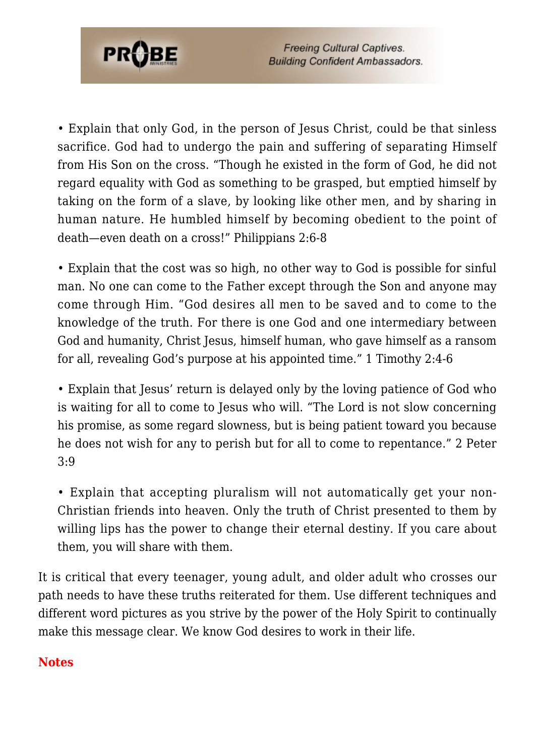

• Explain that only God, in the person of Jesus Christ, could be that sinless sacrifice. God had to undergo the pain and suffering of separating Himself from His Son on the cross. "Though he existed in the form of God, he did not regard equality with God as something to be grasped, but emptied himself by taking on the form of a slave, by looking like other men, and by sharing in human nature. He humbled himself by becoming obedient to the point of death—even death on a cross!" Philippians 2:6-8

• Explain that the cost was so high, no other way to God is possible for sinful man. No one can come to the Father except through the Son and anyone may come through Him. "God desires all men to be saved and to come to the knowledge of the truth. For there is one God and one intermediary between God and humanity, Christ Jesus, himself human, who gave himself as a ransom for all, revealing God's purpose at his appointed time." 1 Timothy 2:4-6

• Explain that Jesus' return is delayed only by the loving patience of God who is waiting for all to come to Jesus who will. "The Lord is not slow concerning his promise, as some regard slowness, but is being patient toward you because he does not wish for any to perish but for all to come to repentance." 2 Peter 3:9

• Explain that accepting pluralism will not automatically get your non-Christian friends into heaven. Only the truth of Christ presented to them by willing lips has the power to change their eternal destiny. If you care about them, you will share with them.

It is critical that every teenager, young adult, and older adult who crosses our path needs to have these truths reiterated for them. Use different techniques and different word pictures as you strive by the power of the Holy Spirit to continually make this message clear. We know God desires to work in their life.

#### <span id="page-11-0"></span>**Notes**